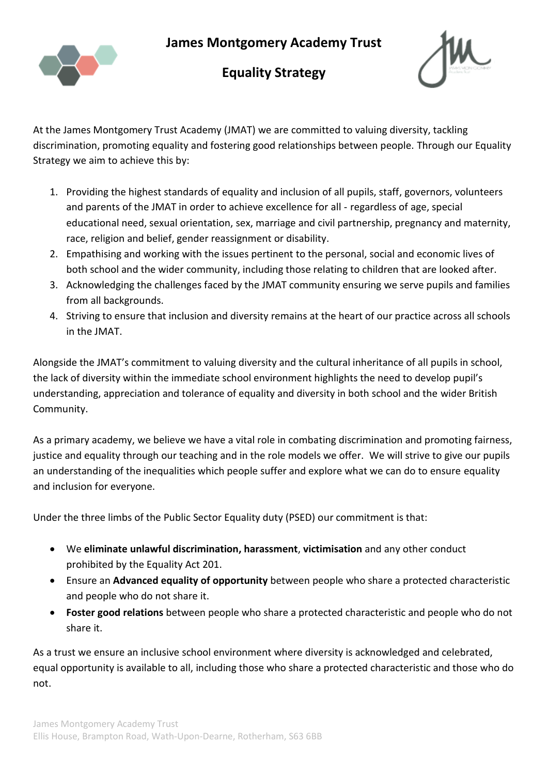**James Montgomery Academy Trust** 



## **Equality Strategy**



At the James Montgomery Trust Academy (JMAT) we are committed to valuing diversity, tackling discrimination, promoting equality and fostering good relationships between people. Through our Equality Strategy we aim to achieve this by:

- 1. Providing the highest standards of equality and inclusion of all pupils, staff, governors, volunteers and parents of the JMAT in order to achieve excellence for all - regardless of age, special educational need, sexual orientation, sex, marriage and civil partnership, pregnancy and maternity, race, religion and belief, gender reassignment or disability.
- 2. Empathising and working with the issues pertinent to the personal, social and economic lives of both school and the wider community, including those relating to children that are looked after.
- 3. Acknowledging the challenges faced by the JMAT community ensuring we serve pupils and families from all backgrounds.
- 4. Striving to ensure that inclusion and diversity remains at the heart of our practice across all schools in the JMAT.

Alongside the JMAT's commitment to valuing diversity and the cultural inheritance of all pupils in school, the lack of diversity within the immediate school environment highlights the need to develop pupil's understanding, appreciation and tolerance of equality and diversity in both school and the wider British Community.

As a primary academy, we believe we have a vital role in combating discrimination and promoting fairness, justice and equality through our teaching and in the role models we offer. We will strive to give our pupils an understanding of the inequalities which people suffer and explore what we can do to ensure equality and inclusion for everyone.

Under the three limbs of the Public Sector Equality duty (PSED) our commitment is that:

- We **eliminate unlawful discrimination, harassment**, **victimisation** and any other conduct prohibited by the Equality Act 201.
- Ensure an **Advanced equality of opportunity** between people who share a protected characteristic and people who do not share it.
- **Foster good relations** between people who share a protected characteristic and people who do not share it.

As a trust we ensure an inclusive school environment where diversity is acknowledged and celebrated, equal opportunity is available to all, including those who share a protected characteristic and those who do not.